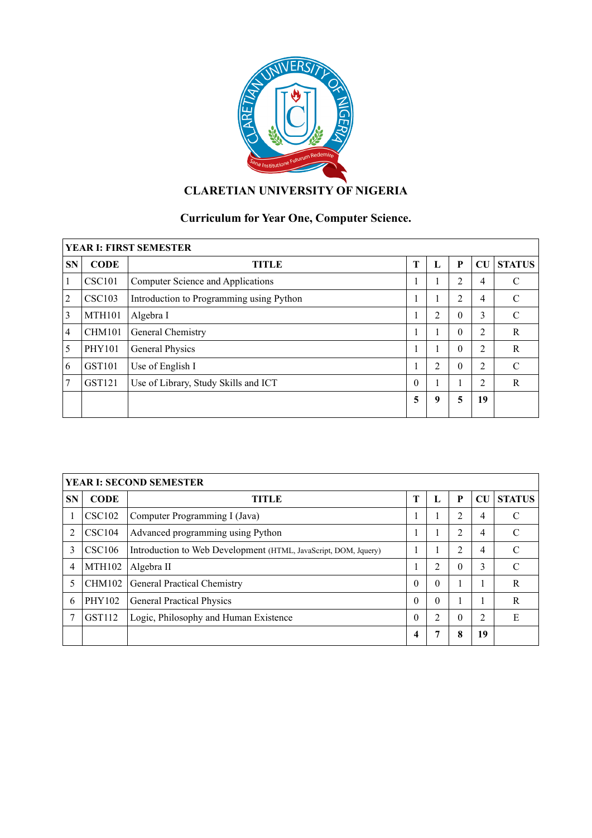

# **CLARETIAN UNIVERSITY OF NIGERIA**

# **Curriculum for Year One, Computer Science.**

| <b>YEAR I: FIRST SEMESTER</b> |               |                                          |          |    |                |    |               |  |  |  |  |
|-------------------------------|---------------|------------------------------------------|----------|----|----------------|----|---------------|--|--|--|--|
| <b>SN</b>                     | <b>CODE</b>   | <b>TITLE</b>                             | T        | п. | P              | CU | <b>STATUS</b> |  |  |  |  |
|                               | <b>CSC101</b> | Computer Science and Applications        |          |    | $\overline{c}$ | 4  | C             |  |  |  |  |
| 2                             | <b>CSC103</b> | Introduction to Programming using Python |          |    | $\overline{c}$ | 4  | C             |  |  |  |  |
| 3                             | <b>MTH101</b> | Algebra I                                | п        | 2  | $\theta$       | 3  | $\mathcal{C}$ |  |  |  |  |
| $\overline{4}$                | <b>CHM101</b> | General Chemistry                        |          |    | $\theta$       | 2  | R             |  |  |  |  |
| 5                             | <b>PHY101</b> | General Physics                          |          |    | $\theta$       | 2  | R             |  |  |  |  |
| 6                             | GST101        | Use of English I                         | п        | 2  | $\theta$       | 2  | $\mathcal{C}$ |  |  |  |  |
| 7                             | GST121        | Use of Library, Study Skills and ICT     | $\theta$ |    | 1              | 2  | R             |  |  |  |  |
|                               |               |                                          | 5        | 9  | 5              | 19 |               |  |  |  |  |

| <b>YEAR I: SECOND SEMESTER</b> |               |                                                                 |          |          |                |           |               |  |  |  |  |
|--------------------------------|---------------|-----------------------------------------------------------------|----------|----------|----------------|-----------|---------------|--|--|--|--|
| <b>SN</b>                      | <b>CODE</b>   | TITLE                                                           | T        | Ъ.       | P              | <b>CU</b> | <b>STATUS</b> |  |  |  |  |
|                                | <b>CSC102</b> | Computer Programming I (Java)                                   |          |          | 2              | 4         | C             |  |  |  |  |
| 2                              | CSC104        | Advanced programming using Python                               |          |          | 2              | 4         | $\mathcal{C}$ |  |  |  |  |
| 3                              | <b>CSC106</b> | Introduction to Web Development (HTML, JavaScript, DOM, Jquery) |          |          | $\overline{2}$ | 4         | C             |  |  |  |  |
| 4                              | <b>MTH102</b> | Algebra II                                                      |          | 2        | $\theta$       | 3         | $\mathcal{C}$ |  |  |  |  |
| 5                              | <b>CHM102</b> | General Practical Chemistry                                     | $\theta$ | $\Omega$ |                |           | R             |  |  |  |  |
| 6                              | PHY102        | <b>General Practical Physics</b>                                | $\theta$ | $\Omega$ |                |           | R             |  |  |  |  |
|                                | <b>GST112</b> | Logic, Philosophy and Human Existence                           | $\theta$ | C        | $\Omega$       | 2         | E             |  |  |  |  |
|                                |               |                                                                 | 4        |          | 8              | 19        |               |  |  |  |  |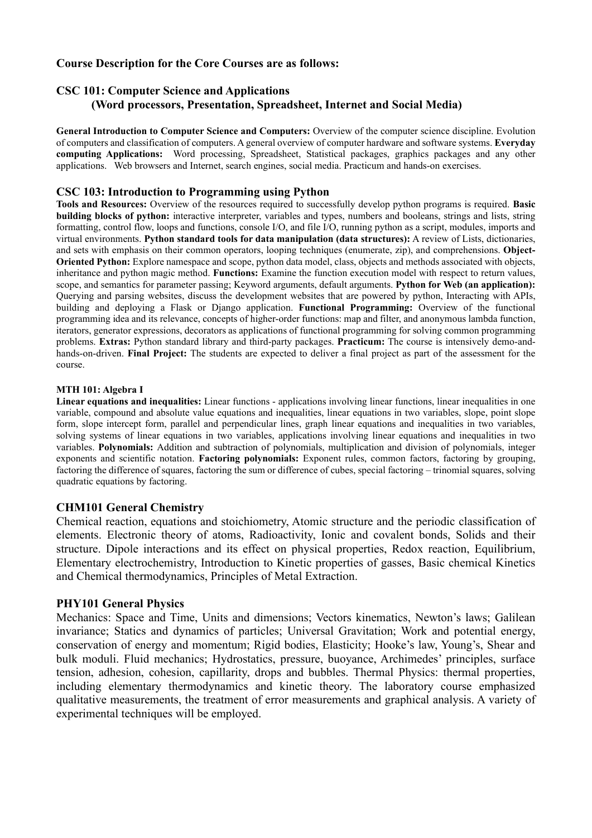# **Course Description for the Core Courses are as follows:**

# **CSC 101: Computer Science and Applications (Word processors, Presentation, Spreadsheet, Internet and Social Media)**

**General Introduction to Computer Science and Computers:** Overview of the computer science discipline. Evolution of computers and classification of computers. A general overview of computer hardware and software systems. **Everyday computing Applications:** Word processing, Spreadsheet, Statistical packages, graphics packages and any other applications. Web browsers and Internet, search engines, social media. Practicum and hands-on exercises.

## **CSC 103: Introduction to Programming using Python**

**Tools and Resources:** Overview of the resources required to successfully develop python programs is required. **Basic building blocks of python:** interactive interpreter, variables and types, numbers and booleans, strings and lists, string formatting, control flow, loops and functions, console I/O, and file I/O, running python as a script, modules, imports and virtual environments. **Python standard tools for data manipulation (data structures):** A review of Lists, dictionaries, and sets with emphasis on their common operators, looping techniques (enumerate, zip), and comprehensions. **Object-Oriented Python:** Explore namespace and scope, python data model, class, objects and methods associated with objects, inheritance and python magic method. **Functions:** Examine the function execution model with respect to return values, scope, and semantics for parameter passing; Keyword arguments, default arguments. **Python for Web (an application):**  Querying and parsing websites, discuss the development websites that are powered by python, Interacting with APIs, building and deploying a Flask or Django application. **Functional Programming:** Overview of the functional programming idea and its relevance, concepts of higher-order functions: map and filter, and anonymous lambda function, iterators, generator expressions, decorators as applications of functional programming for solving common programming problems. **Extras:** Python standard library and third-party packages. **Practicum:** The course is intensively demo-andhands-on-driven. **Final Project:** The students are expected to deliver a final project as part of the assessment for the course.

### **MTH 101: Algebra I**

**Linear equations and inequalities:** Linear functions - applications involving linear functions, linear inequalities in one variable, compound and absolute value equations and inequalities, linear equations in two variables, slope, point slope form, slope intercept form, parallel and perpendicular lines, graph linear equations and inequalities in two variables, solving systems of linear equations in two variables, applications involving linear equations and inequalities in two variables. **Polynomials:** Addition and subtraction of polynomials, multiplication and division of polynomials, integer exponents and scientific notation. **Factoring polynomials:** Exponent rules, common factors, factoring by grouping, factoring the difference of squares, factoring the sum or difference of cubes, special factoring – trinomial squares, solving quadratic equations by factoring.

## **CHM101 General Chemistry**

Chemical reaction, equations and stoichiometry, Atomic structure and the periodic classification of elements. Electronic theory of atoms, Radioactivity, Ionic and covalent bonds, Solids and their structure. Dipole interactions and its effect on physical properties, Redox reaction, Equilibrium, Elementary electrochemistry, Introduction to Kinetic properties of gasses, Basic chemical Kinetics and Chemical thermodynamics, Principles of Metal Extraction.

## **PHY101 General Physics**

Mechanics: Space and Time, Units and dimensions; Vectors kinematics, Newton's laws; Galilean invariance; Statics and dynamics of particles; Universal Gravitation; Work and potential energy, conservation of energy and momentum; Rigid bodies, Elasticity; Hooke's law, Young's, Shear and bulk moduli. Fluid mechanics; Hydrostatics, pressure, buoyance, Archimedes' principles, surface tension, adhesion, cohesion, capillarity, drops and bubbles. Thermal Physics: thermal properties, including elementary thermodynamics and kinetic theory. The laboratory course emphasized qualitative measurements, the treatment of error measurements and graphical analysis. A variety of experimental techniques will be employed.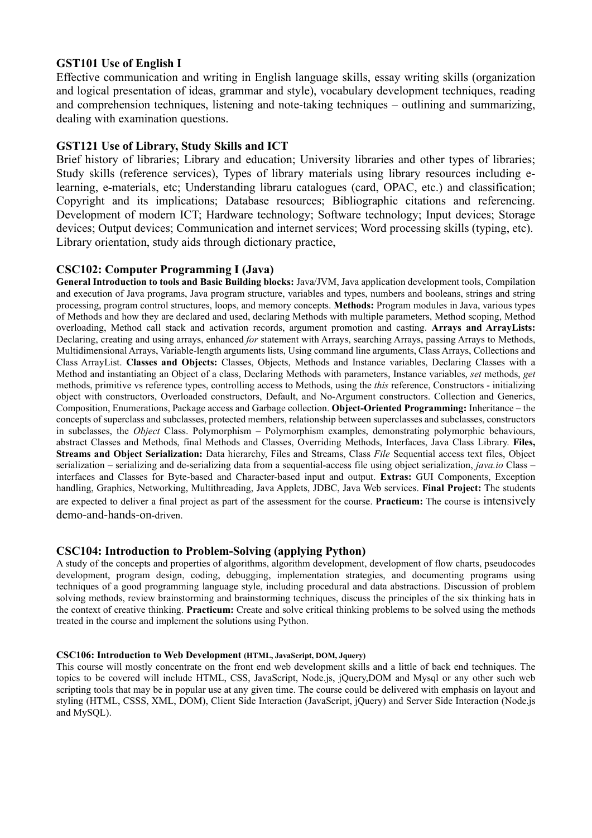# **GST101 Use of English I**

Effective communication and writing in English language skills, essay writing skills (organization and logical presentation of ideas, grammar and style), vocabulary development techniques, reading and comprehension techniques, listening and note-taking techniques – outlining and summarizing, dealing with examination questions.

# **GST121 Use of Library, Study Skills and ICT**

Brief history of libraries; Library and education; University libraries and other types of libraries; Study skills (reference services), Types of library materials using library resources including elearning, e-materials, etc; Understanding libraru catalogues (card, OPAC, etc.) and classification; Copyright and its implications; Database resources; Bibliographic citations and referencing. Development of modern ICT; Hardware technology; Software technology; Input devices; Storage devices; Output devices; Communication and internet services; Word processing skills (typing, etc). Library orientation, study aids through dictionary practice,

## **CSC102: Computer Programming I (Java)**

**General Introduction to tools and Basic Building blocks:** Java/JVM, Java application development tools, Compilation and execution of Java programs, Java program structure, variables and types, numbers and booleans, strings and string processing, program control structures, loops, and memory concepts. **Methods:** Program modules in Java, various types of Methods and how they are declared and used, declaring Methods with multiple parameters, Method scoping, Method overloading, Method call stack and activation records, argument promotion and casting. **Arrays and ArrayLists:** Declaring, creating and using arrays, enhanced *for* statement with Arrays, searching Arrays, passing Arrays to Methods, Multidimensional Arrays, Variable-length arguments lists, Using command line arguments, Class Arrays, Collections and Class ArrayList. **Classes and Objects:** Classes, Objects, Methods and Instance variables, Declaring Classes with a Method and instantiating an Object of a class, Declaring Methods with parameters, Instance variables, *set* methods, *get* methods, primitive vs reference types, controlling access to Methods, using the *this* reference, Constructors - initializing object with constructors, Overloaded constructors, Default, and No-Argument constructors. Collection and Generics, Composition, Enumerations, Package access and Garbage collection. **Object-Oriented Programming:** Inheritance – the concepts of superclass and subclasses, protected members, relationship between superclasses and subclasses, constructors in subclasses, the *Object* Class. Polymorphism – Polymorphism examples, demonstrating polymorphic behaviours, abstract Classes and Methods, final Methods and Classes, Overriding Methods, Interfaces, Java Class Library. **Files, Streams and Object Serialization:** Data hierarchy, Files and Streams, Class *File* Sequential access text files, Object serialization – serializing and de-serializing data from a sequential-access file using object serialization, *java.io* Class – interfaces and Classes for Byte-based and Character-based input and output. **Extras:** GUI Components, Exception handling, Graphics, Networking, Multithreading, Java Applets, JDBC, Java Web services. **Final Project:** The students are expected to deliver a final project as part of the assessment for the course. **Practicum:** The course is intensively demo-and-hands-on-driven.

## **CSC104: Introduction to Problem-Solving (applying Python)**

A study of the concepts and properties of algorithms, algorithm development, development of flow charts, pseudocodes development, program design, coding, debugging, implementation strategies, and documenting programs using techniques of a good programming language style, including procedural and data abstractions. Discussion of problem solving methods, review brainstorming and brainstorming techniques, discuss the principles of the six thinking hats in the context of creative thinking. **Practicum:** Create and solve critical thinking problems to be solved using the methods treated in the course and implement the solutions using Python.

#### **CSC106: Introduction to Web Development (HTML, JavaScript, DOM, Jquery)**

This course will mostly concentrate on the front end web development skills and a little of back end techniques. The topics to be covered will include HTML, CSS, JavaScript, Node.js, jQuery,DOM and Mysql or any other such web scripting tools that may be in popular use at any given time. The course could be delivered with emphasis on layout and styling (HTML, CSSS, XML, DOM), Client Side Interaction (JavaScript, jQuery) and Server Side Interaction (Node.js and MySQL).